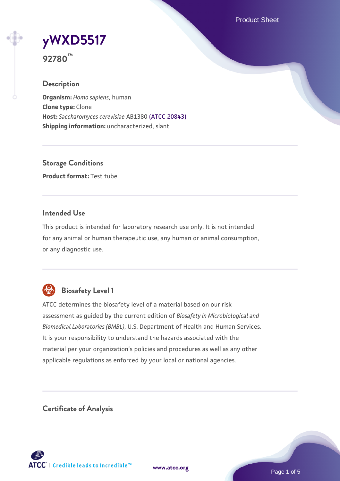Product Sheet

# **[yWXD5517](https://www.atcc.org/products/92780)**

**92780™**

# **Description**

**Organism:** *Homo sapiens*, human **Clone type:** Clone **Host:** *Saccharomyces cerevisiae* AB1380 [\(ATCC 20843\)](https://www.atcc.org/products/20843) **Shipping information:** uncharacterized, slant

**Storage Conditions Product format:** Test tube

### **Intended Use**

This product is intended for laboratory research use only. It is not intended for any animal or human therapeutic use, any human or animal consumption, or any diagnostic use.



# **Biosafety Level 1**

ATCC determines the biosafety level of a material based on our risk assessment as guided by the current edition of *Biosafety in Microbiological and Biomedical Laboratories (BMBL)*, U.S. Department of Health and Human Services. It is your responsibility to understand the hazards associated with the material per your organization's policies and procedures as well as any other applicable regulations as enforced by your local or national agencies.

**Certificate of Analysis**

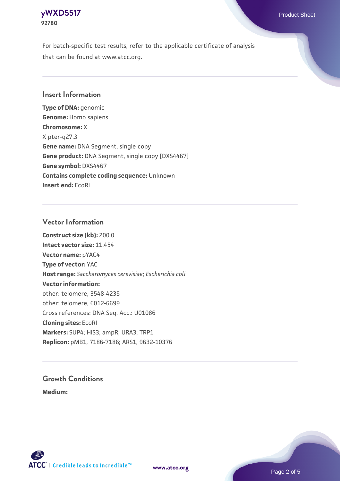

For batch-specific test results, refer to the applicable certificate of analysis that can be found at www.atcc.org.

#### **Insert Information**

**Type of DNA:** genomic **Genome:** Homo sapiens **Chromosome:** X X pter-q27.3 **Gene name:** DNA Segment, single copy **Gene product:** DNA Segment, single copy [DXS4467] **Gene symbol:** DXS4467 **Contains complete coding sequence:** Unknown **Insert end:** EcoRI

#### **Vector Information**

**Construct size (kb):** 200.0 **Intact vector size:** 11.454 **Vector name:** pYAC4 **Type of vector:** YAC **Host range:** *Saccharomyces cerevisiae*; *Escherichia coli* **Vector information:** other: telomere, 3548-4235 other: telomere, 6012-6699 Cross references: DNA Seq. Acc.: U01086 **Cloning sites:** EcoRI **Markers:** SUP4; HIS3; ampR; URA3; TRP1 **Replicon:** pMB1, 7186-7186; ARS1, 9632-10376

# **Growth Conditions**

**Medium:** 



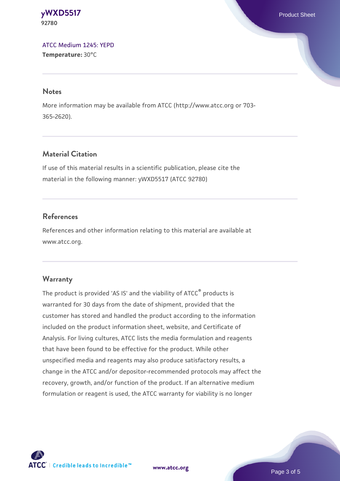**[yWXD5517](https://www.atcc.org/products/92780)** Product Sheet **92780**

[ATCC Medium 1245: YEPD](https://www.atcc.org/-/media/product-assets/documents/microbial-media-formulations/1/2/4/5/atcc-medium-1245.pdf?rev=705ca55d1b6f490a808a965d5c072196) **Temperature:** 30°C

#### **Notes**

More information may be available from ATCC (http://www.atcc.org or 703- 365-2620).

### **Material Citation**

If use of this material results in a scientific publication, please cite the material in the following manner: yWXD5517 (ATCC 92780)

#### **References**

References and other information relating to this material are available at www.atcc.org.

#### **Warranty**

The product is provided 'AS IS' and the viability of ATCC® products is warranted for 30 days from the date of shipment, provided that the customer has stored and handled the product according to the information included on the product information sheet, website, and Certificate of Analysis. For living cultures, ATCC lists the media formulation and reagents that have been found to be effective for the product. While other unspecified media and reagents may also produce satisfactory results, a change in the ATCC and/or depositor-recommended protocols may affect the recovery, growth, and/or function of the product. If an alternative medium formulation or reagent is used, the ATCC warranty for viability is no longer



**[www.atcc.org](http://www.atcc.org)**

Page 3 of 5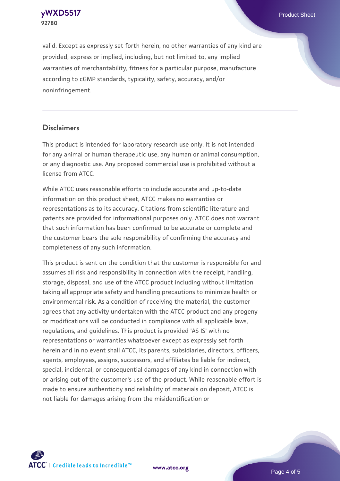**[yWXD5517](https://www.atcc.org/products/92780)** Product Sheet **92780**

valid. Except as expressly set forth herein, no other warranties of any kind are provided, express or implied, including, but not limited to, any implied warranties of merchantability, fitness for a particular purpose, manufacture according to cGMP standards, typicality, safety, accuracy, and/or noninfringement.

#### **Disclaimers**

This product is intended for laboratory research use only. It is not intended for any animal or human therapeutic use, any human or animal consumption, or any diagnostic use. Any proposed commercial use is prohibited without a license from ATCC.

While ATCC uses reasonable efforts to include accurate and up-to-date information on this product sheet, ATCC makes no warranties or representations as to its accuracy. Citations from scientific literature and patents are provided for informational purposes only. ATCC does not warrant that such information has been confirmed to be accurate or complete and the customer bears the sole responsibility of confirming the accuracy and completeness of any such information.

This product is sent on the condition that the customer is responsible for and assumes all risk and responsibility in connection with the receipt, handling, storage, disposal, and use of the ATCC product including without limitation taking all appropriate safety and handling precautions to minimize health or environmental risk. As a condition of receiving the material, the customer agrees that any activity undertaken with the ATCC product and any progeny or modifications will be conducted in compliance with all applicable laws, regulations, and guidelines. This product is provided 'AS IS' with no representations or warranties whatsoever except as expressly set forth herein and in no event shall ATCC, its parents, subsidiaries, directors, officers, agents, employees, assigns, successors, and affiliates be liable for indirect, special, incidental, or consequential damages of any kind in connection with or arising out of the customer's use of the product. While reasonable effort is made to ensure authenticity and reliability of materials on deposit, ATCC is not liable for damages arising from the misidentification or



**[www.atcc.org](http://www.atcc.org)**

Page 4 of 5